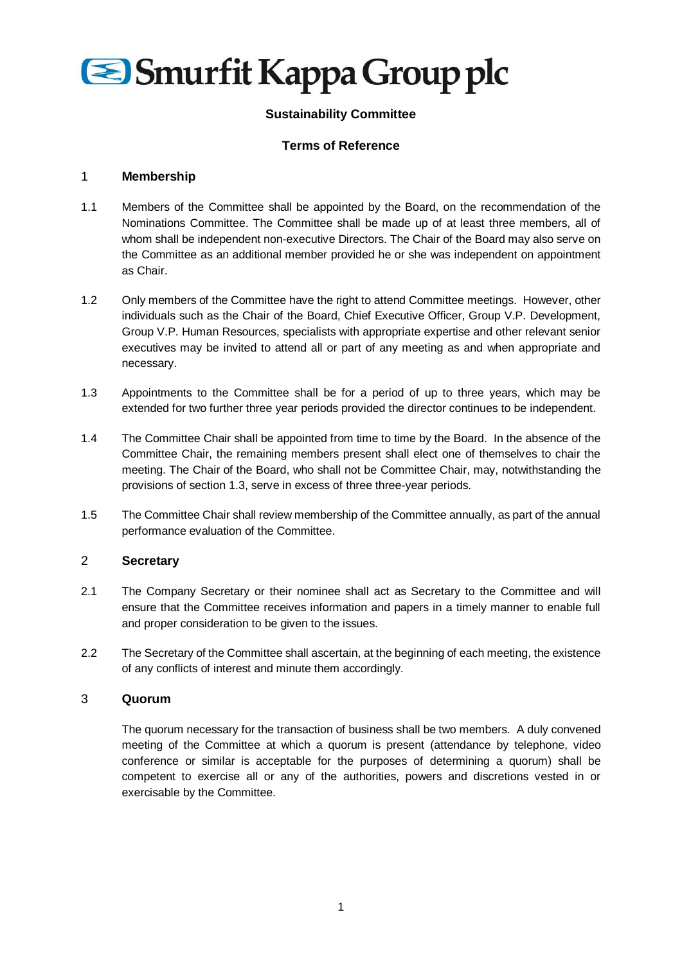

# **Sustainability Committee**

## **Terms of Reference**

#### 1 **Membership**

- 1.1 Members of the Committee shall be appointed by the Board, on the recommendation of the Nominations Committee. The Committee shall be made up of at least three members, all of whom shall be independent non-executive Directors. The Chair of the Board may also serve on the Committee as an additional member provided he or she was independent on appointment as Chair.
- 1.2 Only members of the Committee have the right to attend Committee meetings. However, other individuals such as the Chair of the Board, Chief Executive Officer, Group V.P. Development, Group V.P. Human Resources, specialists with appropriate expertise and other relevant senior executives may be invited to attend all or part of any meeting as and when appropriate and necessary.
- 1.3 Appointments to the Committee shall be for a period of up to three years, which may be extended for two further three year periods provided the director continues to be independent.
- 1.4 The Committee Chair shall be appointed from time to time by the Board. In the absence of the Committee Chair, the remaining members present shall elect one of themselves to chair the meeting. The Chair of the Board, who shall not be Committee Chair, may, notwithstanding the provisions of section 1.3, serve in excess of three three-year periods.
- 1.5 The Committee Chair shall review membership of the Committee annually, as part of the annual performance evaluation of the Committee.

#### 2 **Secretary**

- 2.1 The Company Secretary or their nominee shall act as Secretary to the Committee and will ensure that the Committee receives information and papers in a timely manner to enable full and proper consideration to be given to the issues.
- 2.2 The Secretary of the Committee shall ascertain, at the beginning of each meeting, the existence of any conflicts of interest and minute them accordingly.

#### 3 **Quorum**

The quorum necessary for the transaction of business shall be two members. A duly convened meeting of the Committee at which a quorum is present (attendance by telephone, video conference or similar is acceptable for the purposes of determining a quorum) shall be competent to exercise all or any of the authorities, powers and discretions vested in or exercisable by the Committee.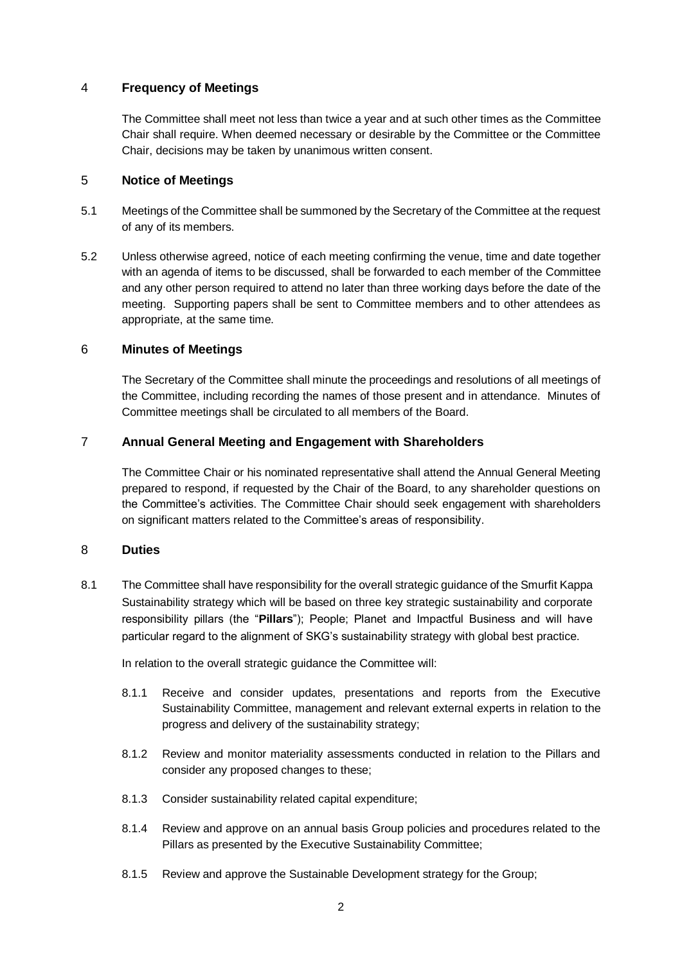# 4 **Frequency of Meetings**

The Committee shall meet not less than twice a year and at such other times as the Committee Chair shall require. When deemed necessary or desirable by the Committee or the Committee Chair, decisions may be taken by unanimous written consent.

# 5 **Notice of Meetings**

- 5.1 Meetings of the Committee shall be summoned by the Secretary of the Committee at the request of any of its members.
- 5.2 Unless otherwise agreed, notice of each meeting confirming the venue, time and date together with an agenda of items to be discussed, shall be forwarded to each member of the Committee and any other person required to attend no later than three working days before the date of the meeting. Supporting papers shall be sent to Committee members and to other attendees as appropriate, at the same time.

## 6 **Minutes of Meetings**

The Secretary of the Committee shall minute the proceedings and resolutions of all meetings of the Committee, including recording the names of those present and in attendance. Minutes of Committee meetings shall be circulated to all members of the Board.

## 7 **Annual General Meeting and Engagement with Shareholders**

The Committee Chair or his nominated representative shall attend the Annual General Meeting prepared to respond, if requested by the Chair of the Board, to any shareholder questions on the Committee's activities. The Committee Chair should seek engagement with shareholders on significant matters related to the Committee's areas of responsibility.

# 8 **Duties**

8.1 The Committee shall have responsibility for the overall strategic guidance of the Smurfit Kappa Sustainability strategy which will be based on three key strategic sustainability and corporate responsibility pillars (the "**Pillars**"); People; Planet and Impactful Business and will have particular regard to the alignment of SKG's sustainability strategy with global best practice.

In relation to the overall strategic guidance the Committee will:

- 8.1.1 Receive and consider updates, presentations and reports from the Executive Sustainability Committee, management and relevant external experts in relation to the progress and delivery of the sustainability strategy;
- 8.1.2 Review and monitor materiality assessments conducted in relation to the Pillars and consider any proposed changes to these;
- 8.1.3 Consider sustainability related capital expenditure;
- 8.1.4 Review and approve on an annual basis Group policies and procedures related to the Pillars as presented by the Executive Sustainability Committee;
- 8.1.5 Review and approve the Sustainable Development strategy for the Group;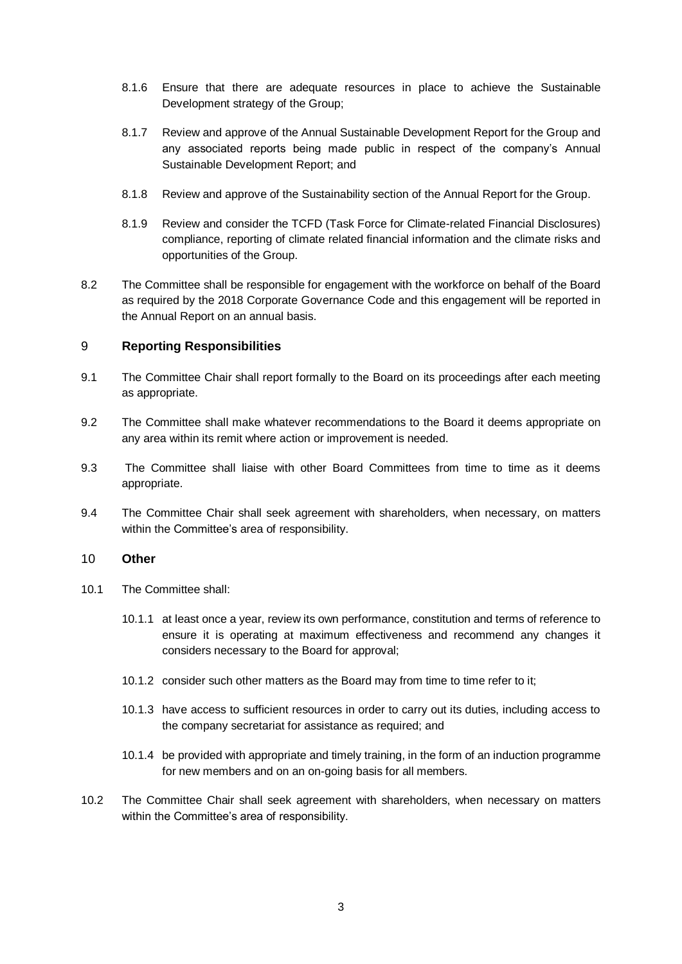- 8.1.6 Ensure that there are adequate resources in place to achieve the Sustainable Development strategy of the Group;
- 8.1.7 Review and approve of the Annual Sustainable Development Report for the Group and any associated reports being made public in respect of the company's Annual Sustainable Development Report; and
- 8.1.8 Review and approve of the Sustainability section of the Annual Report for the Group.
- 8.1.9 Review and consider the TCFD (Task Force for Climate-related Financial Disclosures) compliance, reporting of climate related financial information and the climate risks and opportunities of the Group.
- 8.2 The Committee shall be responsible for engagement with the workforce on behalf of the Board as required by the 2018 Corporate Governance Code and this engagement will be reported in the Annual Report on an annual basis.

## 9 **Reporting Responsibilities**

- 9.1 The Committee Chair shall report formally to the Board on its proceedings after each meeting as appropriate.
- 9.2 The Committee shall make whatever recommendations to the Board it deems appropriate on any area within its remit where action or improvement is needed.
- 9.3 The Committee shall liaise with other Board Committees from time to time as it deems appropriate.
- 9.4 The Committee Chair shall seek agreement with shareholders, when necessary, on matters within the Committee's area of responsibility.

#### 10 **Other**

- 10.1 The Committee shall:
	- 10.1.1 at least once a year, review its own performance, constitution and terms of reference to ensure it is operating at maximum effectiveness and recommend any changes it considers necessary to the Board for approval;
	- 10.1.2 consider such other matters as the Board may from time to time refer to it;
	- 10.1.3 have access to sufficient resources in order to carry out its duties, including access to the company secretariat for assistance as required; and
	- 10.1.4 be provided with appropriate and timely training, in the form of an induction programme for new members and on an on-going basis for all members.
- 10.2 The Committee Chair shall seek agreement with shareholders, when necessary on matters within the Committee's area of responsibility.